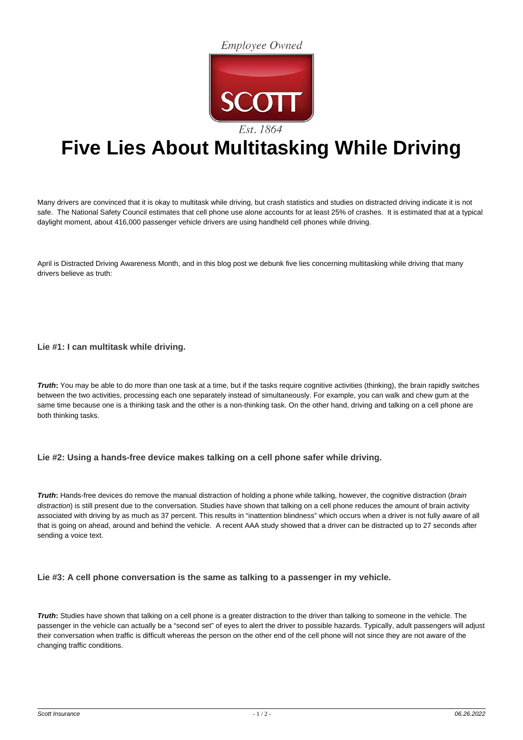**Employee Owned** 



## **Five Lies About Multitasking While Driving**

Many drivers are convinced that it is okay to multitask while driving, but crash statistics and studies on distracted driving indicate it is not safe. The National Safety Council estimates that cell phone use alone accounts for at least 25% of crashes. It is estimated that at a typical daylight moment, about 416,000 passenger vehicle drivers are using handheld cell phones while driving.

April is Distracted Driving Awareness Month, and in this blog post we debunk five lies concerning multitasking while driving that many drivers believe as truth:

**Lie #1: I can multitask while driving.**

**Truth:** You may be able to do more than one task at a time, but if the tasks require cognitive activities (thinking), the brain rapidly switches between the two activities, processing each one separately instead of simultaneously. For example, you can walk and chew gum at the same time because one is a thinking task and the other is a non-thinking task. On the other hand, driving and talking on a cell phone are both thinking tasks.

## **Lie #2: Using a hands-free device makes talking on a cell phone safer while driving.**

**Truth:** Hands-free devices do remove the manual distraction of holding a phone while talking, however, the cognitive distraction (brain distraction) is still present due to the conversation. Studies have shown that talking on a cell phone reduces the amount of brain activity associated with driving by as much as 37 percent. This results in "inattention blindness" which occurs when a driver is not fully aware of all that is going on ahead, around and behind the vehicle. A recent AAA study showed that a driver can be distracted up to 27 seconds after sending a voice text.

**Lie #3: A cell phone conversation is the same as talking to a passenger in my vehicle.**

**Truth:** Studies have shown that talking on a cell phone is a greater distraction to the driver than talking to someone in the vehicle. The passenger in the vehicle can actually be a "second set" of eyes to alert the driver to possible hazards. Typically, adult passengers will adjust their conversation when traffic is difficult whereas the person on the other end of the cell phone will not since they are not aware of the changing traffic conditions.